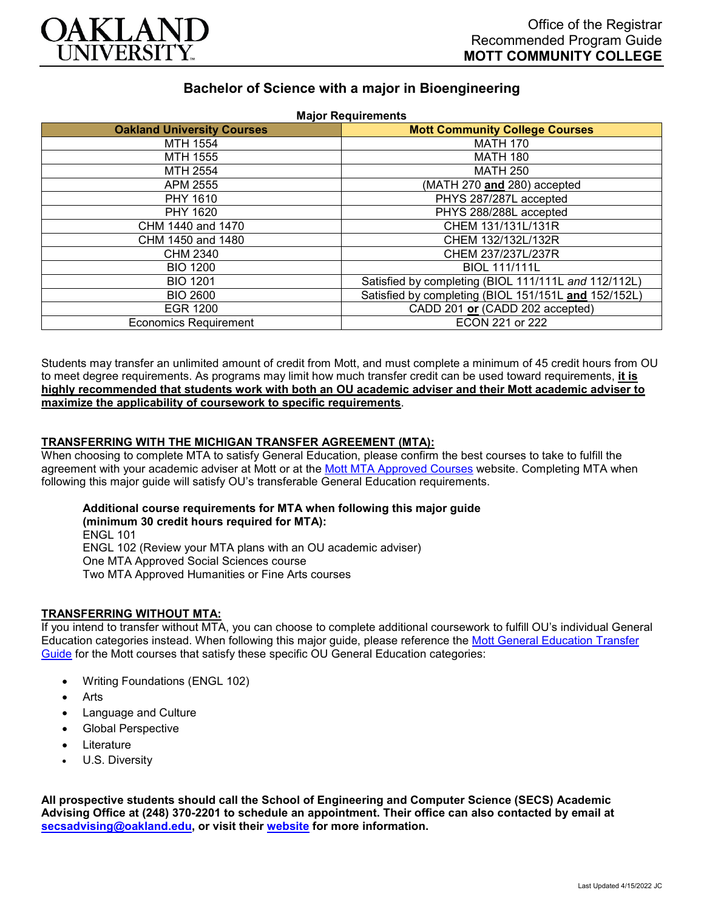

# **Bachelor of Science with a major in Bioengineering**

| <b>Major Requirements</b>         |                                                      |
|-----------------------------------|------------------------------------------------------|
| <b>Oakland University Courses</b> | <b>Mott Community College Courses</b>                |
| MTH 1554                          | <b>MATH 170</b>                                      |
| MTH 1555                          | <b>MATH 180</b>                                      |
| MTH 2554                          | <b>MATH 250</b>                                      |
| APM 2555                          | (MATH 270 and 280) accepted                          |
| PHY 1610                          | PHYS 287/287L accepted                               |
| PHY 1620                          | PHYS 288/288L accepted                               |
| CHM 1440 and 1470                 | CHEM 131/131L/131R                                   |
| CHM 1450 and 1480                 | CHEM 132/132L/132R                                   |
| CHM 2340                          | CHEM 237/237L/237R                                   |
| <b>BIO 1200</b>                   | <b>BIOL 111/111L</b>                                 |
| <b>BIO 1201</b>                   | Satisfied by completing (BIOL 111/111L and 112/112L) |
| <b>BIO 2600</b>                   | Satisfied by completing (BIOL 151/151L and 152/152L) |
| <b>EGR 1200</b>                   | CADD 201 or (CADD 202 accepted)                      |
| <b>Economics Requirement</b>      | ECON 221 or 222                                      |

Students may transfer an unlimited amount of credit from Mott, and must complete a minimum of 45 credit hours from OU to meet degree requirements. As programs may limit how much transfer credit can be used toward requirements, **it is highly recommended that students work with both an OU academic adviser and their Mott academic adviser to maximize the applicability of coursework to specific requirements**.

### **TRANSFERRING WITH THE MICHIGAN TRANSFER AGREEMENT (MTA):**

When choosing to complete MTA to satisfy General Education, please confirm the best courses to take to fulfill the agreement with your academic adviser at Mott or at the [Mott MTA Approved Courses](https://www.mcc.edu/counseling_student_dev/casd_mi_transfer_agreement.shtml) website. Completing MTA when following this major guide will satisfy OU's transferable General Education requirements.

# **Additional course requirements for MTA when following this major guide (minimum 30 credit hours required for MTA):** ENGL 101 ENGL 102 (Review your MTA plans with an OU academic adviser)

One MTA Approved Social Sciences course Two MTA Approved Humanities or Fine Arts courses

## **TRANSFERRING WITHOUT MTA:**

If you intend to transfer without MTA, you can choose to complete additional coursework to fulfill OU's individual General Education categories instead. When following this major guide, please reference the [Mott General Education Transfer](https://www.oakland.edu/Assets/Oakland/program-guides/mott-community-college/university-general-education-requirements/Mott%20Gen%20Ed.pdf)  [Guide](https://www.oakland.edu/Assets/Oakland/program-guides/mott-community-college/university-general-education-requirements/Mott%20Gen%20Ed.pdf) for the Mott courses that satisfy these specific OU General Education categories:

- Writing Foundations (ENGL 102)
- **Arts**
- Language and Culture
- Global Perspective
- **Literature**
- U.S. Diversity

**All prospective students should call the School of Engineering and Computer Science (SECS) Academic Advising Office at (248) 370-2201 to schedule an appointment. Their office can also contacted by email at [secsadvising@oakland.edu,](mailto:secsadvising@oakland.edu) or visit their [website](https://wwwp.oakland.edu/secs/advising/) for more information.**